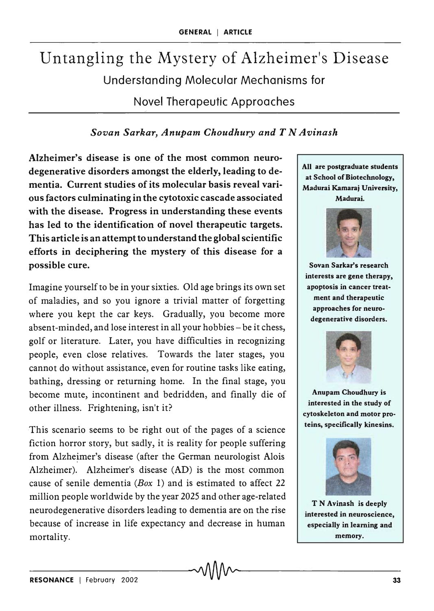# Untangling the Mystery of Alzheimer's Disease Understanding Molecular Mechanisms for Novel Therapeutic Approaches

# *Sovan Sarkar, Anupam Choudhury and T N Avinash*

Alzheimer's disease is one of the most common neurodegenerative disorders amongst the elderly, leading to dementia. Current studies of its molecular basis reveal various factors culminating in the cytotoxic cascade associated with the disease. Progress in understanding these events has led to the identification of novel therapeutic targets. This article is an attempt to understand the global scientific efforts in deciphering the mystery of this disease for a possible cure.

Imagine yourself to be in your sixties. Old age brings its own set of maladies, and so you ignore a trivial matter of forgetting where you kept the car keys. Gradually, you become more absent-minded, and lose interest in all your hobbies - be it chess, golf or literature. Later, you have difficulties in recognizing people, even close relatives. Towards the later stages, you cannot do without assistance, even for routine tasks like eating, bathing, dressing or returning home. In the final stage, you become mute, incontinent and bedridden, and finally die of other illness. Frightening, isn't it?

This scenario seems to be right out of the pages of a science fiction horror story, but sadly, it is reality for people suffering from Alzheimer's disease (after the German neurologist Alois Alzheimer). Alzheimer's disease (AD) is the most common cause of senile dementia *(Box* 1) and is estimated to affect 22 million people worldwide by the year 2025 and other age-related neurodegenerative disorders leading to dementia are on the rise because of increase in life expectancy and decrease in human mortality.

All are postgraduate students at School of Biotechnology, Madurai Kamaraj University, Madurai.



Sovan Sarkar's research interests are gene therapy, apoptosis in cancer treatment and therapeutic approaches for neurodegenerative disorders.



Anupam Choudhury is interested in the study of cytoskeleton and motor proteins, specifically kinesins.



TN Avinash is deeply interested in neuroscience, especially in learning and memory.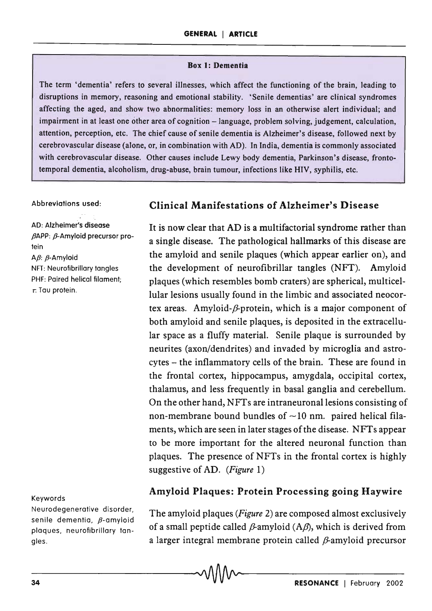#### Box 1: Dementia

The term 'dementia' refers to several illnesses, which affect the functioning of the brain, leading to disruptions in memory, reasoning and emotional stability. 'Senile dementias' are clinical syndromes affecting the aged, and show two abnormalities: memory loss in an otherwise alert individual; and impairment in at least one other area of cognition  $-$  language, problem solving, judgement, calculation, attention, perception, etc. The chief cause of senile dementia is Alzheimer's disease, followed next by cerebrovascular disease (alone, or, in combination with AD). In India, dementia is commonly associated with cerebrovascular disease. Other causes include Lewy body dementia, Parkinson's disease, frontotemporal dementia, alcoholism, drug-abuse, brain tumour, infections like HIV, syphilis, etc.

Abbreviations used:

AD: Alzheimer's disease  $\beta$ APP:  $\beta$ -Amyloid precursor protein A $\beta$ :  $\beta$ -Amyloid NFl: Neurofibrillary tangles PHF: Paired helical filament;  $\tau$ . Tau protein.

Keywords

Neurodegenerative disorder, senile dementia,  $\beta$ -amyloid plaques, neurofibrillary tangles.

### Clinical Manifestations of Alzheimer's Disease

It is now clear that AD is a multifactorial syndrome rather than a single disease. The pathological hallmarks of this disease are the amyloid and senile plaques (which appear earlier on), and the development of neurofibrillar tangles (NFT). Amyloid plaques (which resembles bomb craters) are spherical, multicellular lesions usually found in the limbic and associated neocortex areas. Amyloid- $\beta$ -protein, which is a major component of both amyloid and senile plaques, is deposited in the extracellular space as a fluffy material. Senile plaque is surrounded by neurites (axon/dendrites) and invaded by microglia and astrocytes - the inflammatory cells of the brain. These are found in the frontal cortex, hippocampus, amygdala, occipital cortex, thalamus, and less frequently in basal ganglia and cerebellum. On the other hand, NFTs are intraneuronal lesions consisting of non-membrane bound bundles of  $\sim$ 10 nm. paired helical filaments, which are seen in later stages of the disease. NFTs appear to be more important for the altered neuronal function than plaques. The presence of NFTs in the frontal cortex is highly suggestive of AD. *(Figure 1)* 

#### Amyloid Plaques: Protein Processing going Haywire

The amyloid plaques *(Figure* 2) are composed almost exclusively of a small peptide called  $\beta$ -amyloid (A $\beta$ ), which is derived from a larger integral membrane protein called  $\beta$ -amyloid precursor

-34--------------------------------~---------------------------------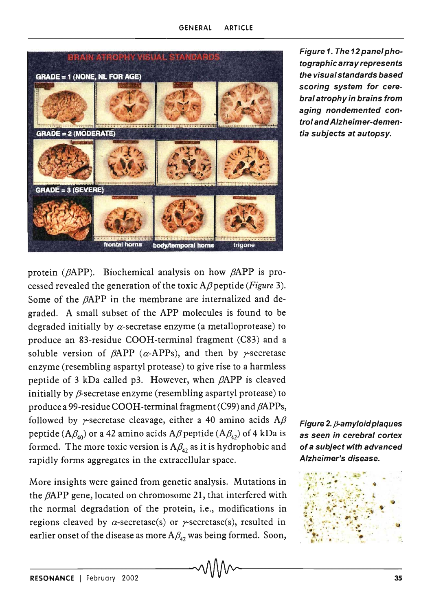

Figure 1. The 12 panel photographic array represents the visual standards based scoring system for cerebral atrophy in brains from aging nondemented control and Alzheimer-dementia subjects at autopsy.

protein ( $\beta$ APP). Biochemical analysis on how  $\beta$ APP is processed revealed the generation of the toxic  $A\beta$  peptide *(Figure 3)*. Some of the BAPP in the membrane are internalized and degraded. A small subset of the APP molecules is found to be degraded initially by  $\alpha$ -secretase enzyme (a metalloprotease) to produce an 83-residue COOH-terminal fragment (C83) and a soluble version of  $\beta$ APP ( $\alpha$ -APPs), and then by  $\gamma$ -secretase enzyme (resembling aspartyl protease) to give rise to a harmless peptide of 3 kDa called p3. However, when  $\beta$ APP is cleaved initially by  $\beta$ -secretase enzyme (resembling aspartyl protease) to produce a 99-residue COOH-terminal fragment (C99) and  $\beta$ APPs, followed by y-secretase cleavage, either a 40 amino acids  $A\beta$ peptide ( $A\beta_{40}$ ) or a 42 amino acids  $A\beta$  peptide ( $A\beta_{42}$ ) of 4 kDa is formed. The more toxic version is  $A\beta_4$ , as it is hydrophobic and rapidly forms aggregates in the extracellular space.

More insights were gained from genetic analysis. Mutations in the  $\beta$ APP gene, located on chromosome 21, that interfered with the normal degradation of the protein, i.e., modifications in regions cleaved by  $\alpha$ -secretase(s) or  $\gamma$ -secretase(s), resulted in earlier onset of the disease as more  $A\beta_{4}$  was being formed. Soon,

Figure 2.  $\beta$ -amyloid plaques as seen in cerebral cortex of a subject with advanced Alzheimer's disease.

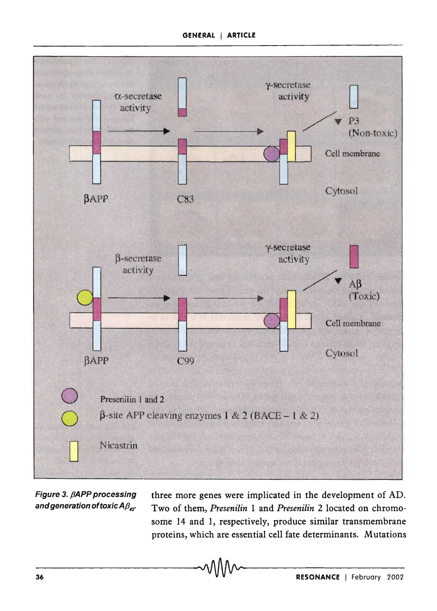

Figure 3.  $\beta$ APP processing three more genes were implicated in the development of AD. and generation of toxic  $A\beta_{42}$ . Two of them, *Presenilin 1* and *Presenilin 2* located on chromosome 14 and 1, respectively, produce similar transmembrane proteins, which are essential cell fate determinants. Mutations<br>  $\sqrt{1/\sqrt{1-\frac{1}{2}}}\sqrt{1-\frac{1}{2}}$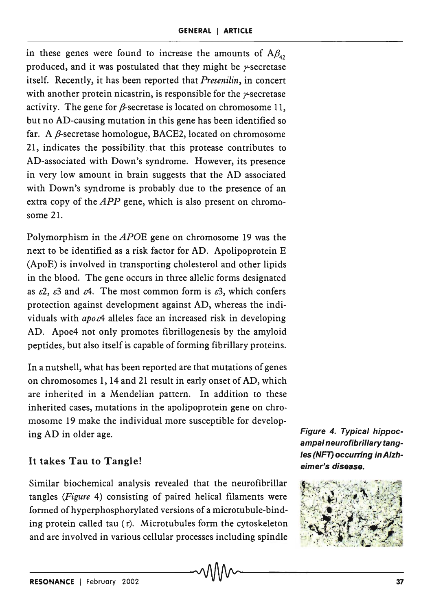in these genes were found to increase the amounts of  $A\beta_{42}$ produced, and it was postulated that they might be  $\gamma$ -secretase itself. Recently, it has been reported that *Presenilin,* in concert with another protein nicastrin, is responsible for the  $\nu$ -secretase activity. The gene for  $\beta$ -secretase is located on chromosome 11, but no AD-causing mutation in this gene has been identified so far. A  $\beta$ -secretase homologue, BACE2, located on chromosome 21, indicates the possibility, that this protease contributes to AD-associated with Down's syndrome. However, its presence in very low amount in brain suggests that the AD associated with Down's syndrome is probably due to the presence of an extra copy of the  $APP$  gene, which is also present on chromosome 21.

Polymorphism in the APOE gene on chromosome 19 was the next to be identified as a risk factor for AD. Apolipoprotein E (ApoE) is involved ih transporting cholesterol and other lipids in the blood. The gene occurs in three allelic forms designated as  $\epsilon^2$ ,  $\epsilon^3$  and  $\epsilon^4$ . The most common form is  $\epsilon^3$ , which confers protection against development against AD, whereas the individuals with  $apoe4$  alleles face an increased risk in developing AD. Apoe4 not only promotes fibrillogenesis by the amyloid peptides, but also itself is capable of forming fibrillary proteins.

In a nutshell, what has been reported are that mutations of genes on chromosomes 1, 14 and 21 result in early onset of AD, which are inherited in a Mendelian pattern. In addition to these inherited cases, mutations in the apolipoprotein gene on chromosome 19 make the individual more susceptible for developing AD in older age.

# It takes Tau to Tangle!

Similar biochemical analysis revealed that the neurofibrillar tangles *(Figure* 4) consisting of paired helical filaments were formed of hyperphosphorylated versions of a microtubule-binding protein called tau  $(\tau)$ . Microtubules form the cytoskeleton and are involved in various cellular processes including spindle

Figure 4. Typical hippocampal neurofibrillary tangles (NFT) occurring in Alzheimer's disease.

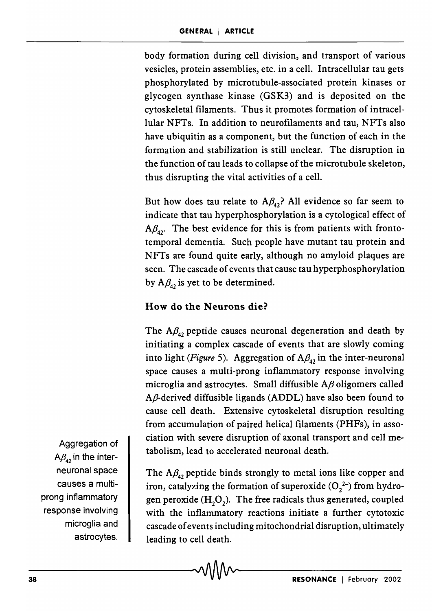body formation during cell division, and transport of various vesicles, protein assemblies, etc. in a cell. Intracellular tau gets phosphorylated by microtubule-associated protein kinases or glycogen synthase kinase (GSK3) and is deposited on the cytoskeletal filaments. Thus it promotes formation of intracellular NFTs. In addition to neurofilaments and tau, NFTs also have ubiquitin as a component, but the function of each in the formation and stabilization is still unclear. The disruption in the function of tau leads to collapse of the microtubule skeleton, thus disrupting the vital activities of a cell.

But how does tau relate to  $A\beta_{4}$ ? All evidence so far seem to indicate that tau hyperphosphorylation is a cytological effect of  $A\beta_{42}$ . The best evidence for this is from patients with frontotemporal dementia. Such people have mutant tau protein and NFTs are found quite early, although no amyloid plaques are seen. The cascade of events that cause tau hyperphosphorylation by  $A\beta_{4}$  is yet to be determined.

# How do the Neurons die?

The  $A\beta_{42}$  peptide causes neuronal degeneration and death by initiating a complex cascade of events that are slowly coming into light (Figure 5). Aggregation of  $A\beta_4$ , in the inter-neuronal space causes a multi-prong inflammatory response involving microglia and astrocytes. Small diffusible  $A\beta$  oligomers called  $A\beta$ -derived diffusible ligands (ADDL) have also been found to cause cell death. Extensive cytoskeletal disruption resulting from accumulation of paired helical filaments (PHFs), in association with severe disruption of axonal transport and cell metabolism, lead to accelerated neuronal death.

The  $A\beta_A$  peptide binds strongly to metal ions like copper and iron, catalyzing the formation of superoxide  $(O_2^2)$  from hydrogen peroxide  $(H_2O_2)$ . The free radicals thus generated, coupled with the inflammatory reactions initiate a further cytotoxic cascade of events including mitochondrial disruption, ultimately leading to cell death.

Aggregation of  $A\beta_{42}$  in the interneuronal space causes a multiprong inflammatory response involving microglia and astrocytes.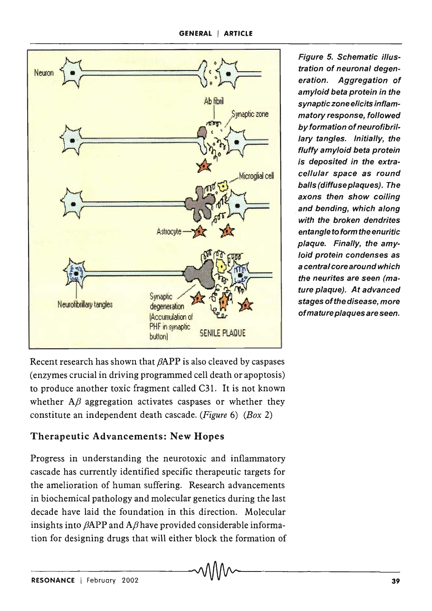

Recent research has shown that  $\beta$ APP is also cleaved by caspases (enzymes crucial in driving programmed cell death or apoptosis) to produce another toxic fragment called C31. It is not known whether  $A\beta$  aggregation activates caspases or whether they constitute an independent death cascade. *(Figure* 6) *(Box 2)* 

# Therapeutic Advancements: New Hopes

Progress in understanding the neurotoxic and inflammatory cascade has currently identified specific therapeutic targets for the amelioration of human suffering. Research advancements in biochemical pathology and molecular genetics during the last decade have laid the foundation in this direction. Molecular insights into  $\beta$ APP and A $\beta$  have provided considerable information for designing drugs that will either block the formation of

Figure 5. Schematic illustration of neuronal degeneration. Aggregation of amyloid beta protein in the synaptic zone elicits inflammatory response, followed by formation of neurofibrillary tangles. Initially, the fluffy amyloid beta protein is deposited in the extracellular space as round balls (diffuse plaques). The axons then show coiling and bending, which along with the broken dendrites entangle to form the enuritic plaque. Finally, the amyloid protein condenses as a central core around which the neurites are seen (mature plaque). At advanced stages of the disease, more of mature plaques are seen.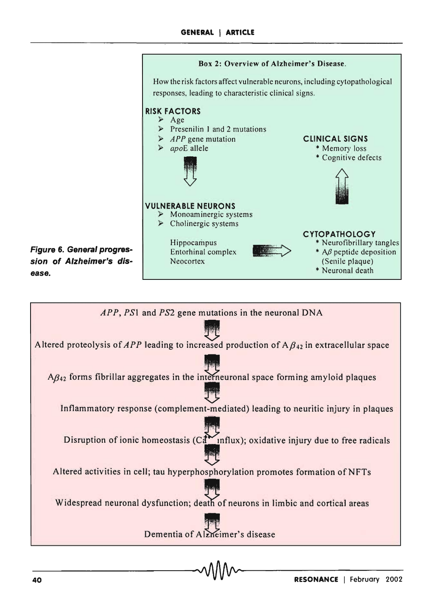

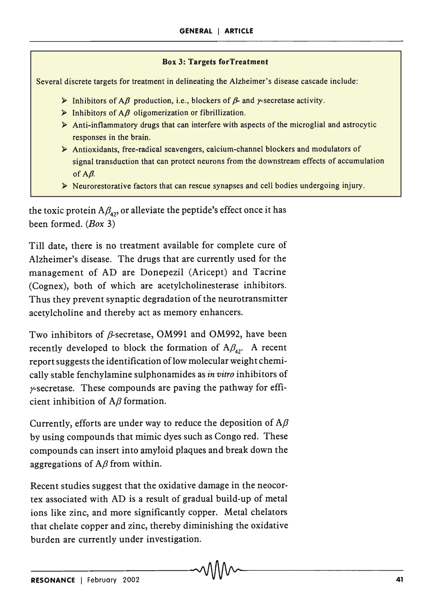#### Box 3: Targets forTreatment

Several discrete targets for treatment in delineating the Alzheimer's disease cascade include:

- $\triangleright$  Inhibitors of A $\beta$  production, i.e., blockers of  $\beta$  and *y*-secretase activity.
- $\triangleright$  Inhibitors of A $\beta$  oligomerization or fibrillization.
- $\triangleright$  Anti-inflammatory drugs that can interfere with aspects of the microglial and astrocytic responses in the brain.
- $\triangleright$  Antioxidants, free-radical scavengers, calcium-channel blockers and modulators of signal transduction that can protect neurons from the downstream effects of accumulation of  $A\beta$ .
- $\triangleright$  Neurorestorative factors that can rescue synapses and cell bodies undergoing injury.

the toxic protein  $A\beta_4$ <sup>2</sup>, or alleviate the peptide's effect once it has been formed. *(Box* 3)

Till date, there is no treatment available for complete cure of Alzheimer's disease. The drugs that are currently used for the management of AD are Donepezil (Aricept) and Tacrine (Cognex), both of which are acetylcholinesterase inhibitors. Thus they prevent synaptic degradation of the neurotransmitter acetylcholine and thereby act as memory enhancers.

Two inhibitors of  $\beta$ -secretase, OM991 and OM992, have been recently developed to block the formation of  $A\beta_{4}$ <sup>2</sup> A recent report suggests the identification of low molecular weight chemically stable fenchylamine sulphonamides as *in vitro* inhibitors of  $\nu$ -secretase. These compounds are paving the pathway for efficient inhibition of  $A\beta$  formation.

Currently, efforts are under way to reduce the deposition of  $A\beta$ by using compounds that mimic dyes such as Congo red. These compounds can insert into amyloid plaques and break down the aggregations of  $A\beta$  from within.

Recent studies suggest that the oxidative damage in the neocortex associated with AD is a result of gradual build-up of metal ions like zinc, and more significantly copper. Metal chelators that chelate copper and zinc, thereby diminishing the oxidative burden are currently under investigation.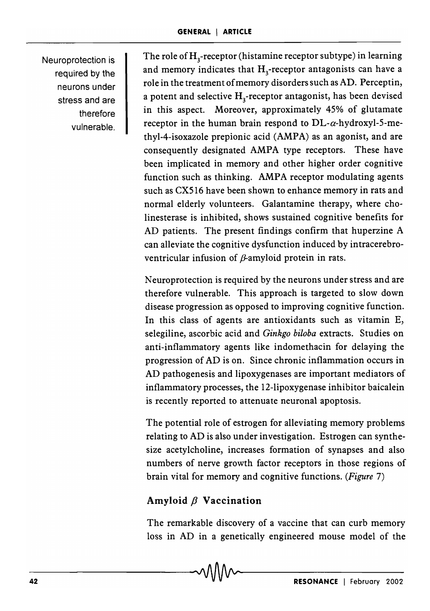Neuroprotection is required by the neurons under stress and are therefore vulnerable.

The role of  $\mathbf{H}_{\mathbf{3}}$ -receptor (histamine receptor subtype) in learning and memory indicates that  $\mathrm{H_{3}}$ -receptor antagonists can have a role in the treatment of memory disorders such as AD. Perceptin, a potent and selective  $\mathrm{H}_{\mathfrak{z}}$ -receptor antagonist, has been devised in this aspect. Moreover, approximately 45% of glutamate receptor in the human brain respond to  $DL-\alpha$ -hydroxyl-5-methyl-4-isoxazole prepionic acid (AMPA) as an agonist, and are consequently designated AMPA type receptors. These have been implicated in memory and other higher order cognitive function such as thinking. AMPA receptor modulating agents such as CX516 have been shown to enhance memory in rats and normal elderly volunteers. Galantamine therapy, where cholinesterase is inhibited, shows sustained cognitive benefits for AD patients. The present findings confirm that huperzine A can alleviate the cognitive dysfunction induced by intracerebroventricular infusion of  $\beta$ -amyloid protein in rats.

Neuroprotection is required by the neurons under stress and are therefore vulnerable. This approach is targeted to slow down disease progression as opposed to improving cognitive function. In this class of agents are antioxidants such as vitamin E, selegiline, ascorbic acid and *Ginkgo biloba* extracts. Studies on anti-inflammatory agents like indomethacin for delaying the progression of AD is on. Since chronic inflammation occurs in AD pathogenesis and lipoxygenases are important mediators of inflammatory processes, the 12-lipoxygenase inhibitor baicalein is recently reported to attenuate neuronal apoptosis.

The potential role of estrogen for alleviating memory problems relating to AD is also under investigation. Estrogen can synthesize acetylcholine, increases formation of synapses and also numbers of nerve growth factor receptors in those regions of brain vital for memory and cognitive functions. *(Figure 7)* 

# Amyloid  $\beta$  Vaccination

The remarkable discovery of a vaccine that can curb memory loss in AD in a genetically engineered mouse model of the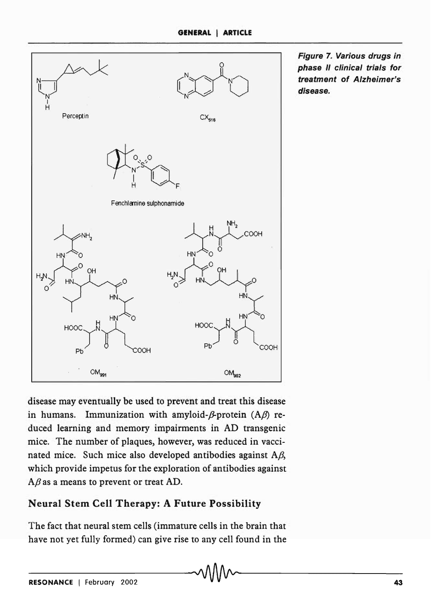

Figure 7. Various drugs in phase II clinical trials for treatment of Alzheimer's disease.

disease may eventually be used to prevent and treat this disease in humans. Immunization with amyloid- $\beta$ -protein  $(A\beta)$  reduced learning and memory impairments in AD transgenic mice. The number of plaques, however, was reduced in vaccinated mice. Such mice also developed antibodies against  $A\beta$ , which provide impetus for the exploration of antibodies against  $A\beta$  as a means to prevent or treat AD.

# Neural Stem Cell Therapy: A Future Possibility

The fact that neural stem cells (immature cells in the brain that have not yet fully formed) can give rise to any cell found in the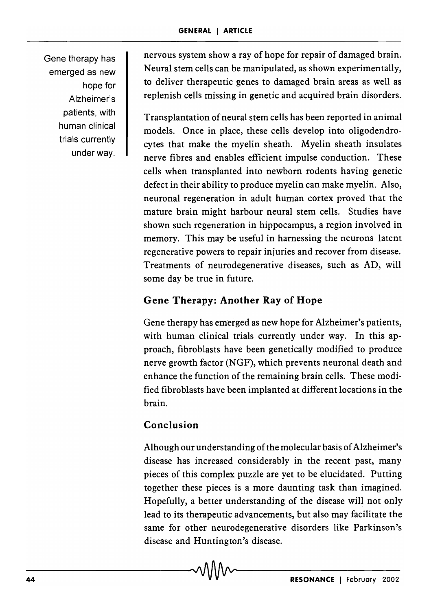Gene therapy has emerged as new hope for Alzheimer's patients, with human clinical trials currently under way.

nervous system show a ray of hope for repair of damaged brain. Neural stem cells can be manipulated, as shown experimentally, to deliver therapeutic genes to damaged brain areas as well as replenish cells missing in genetic and acquired brain disorders.

Transplantation of neural stem cells has been reported in animal models. Once in place, these cells develop into oligodendrocytes that make the myelin sheath. Myelin sheath insulates nerve fibres and enables efficient impulse conduction. These cells when transplanted into newborn rodents having genetic defect in their ability to produce myelin can make myelin. Also, neuronal regeneration in adult human cortex proved that the mature brain might harbour neural stem cells. Studies have shown such regeneration in hippocampus, a region involved in memory. This may be useful in harnessing the neurons latent regenerative powers to repair injuries and recover from disease. Treatments of neurodegenerative diseases, such as AD, will some day be true in future.

# Gene Therapy: Another Ray of Hope

Gene therapy has emerged as new hope for Alzheimer's patients, with human clinical trials currently under way. In this approach, fibroblasts have been genetically modified to produce nerve growth factor (NGF), which prevents neuronal death and enhance the function of the remaining brain cells. These modified fibroblasts have been implanted at different locations in the brain.

# Conclusion

Alhough our understanding of the molecular basis of Alzheimer's disease has increased considerably in the recent past, many pieces of this complex puzzle are yet to be elucidated. Putting together these pieces is a more daunting task than imagined. Hopefully, a better understanding of the disease will not only lead to its therapeutic advancements, but also may facilitate the same for other neurodegenerative disorders like Parkinson's disease and Huntington's disease.